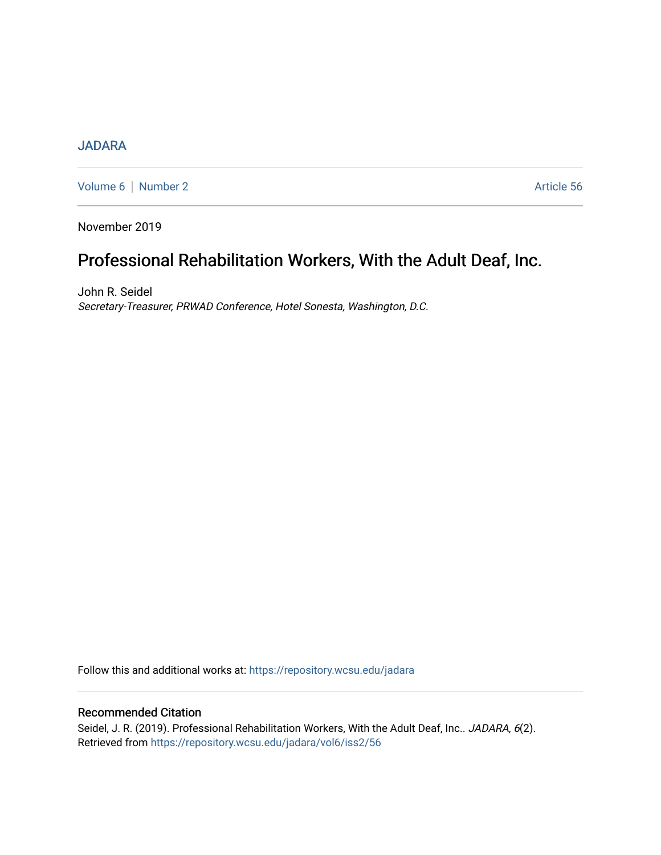## [JADARA](https://repository.wcsu.edu/jadara)

[Volume 6](https://repository.wcsu.edu/jadara/vol6) | [Number 2](https://repository.wcsu.edu/jadara/vol6/iss2) Article 56

November 2019

# Professional Rehabilitation Workers, With the Adult Deaf, Inc.

John R. Seidel Secretary-Treasurer, PRWAD Conference, Hotel Sonesta, Washington, D.C.

Follow this and additional works at: [https://repository.wcsu.edu/jadara](https://repository.wcsu.edu/jadara?utm_source=repository.wcsu.edu%2Fjadara%2Fvol6%2Fiss2%2F56&utm_medium=PDF&utm_campaign=PDFCoverPages)

### Recommended Citation

Seidel, J. R. (2019). Professional Rehabilitation Workers, With the Adult Deaf, Inc.. JADARA, 6(2). Retrieved from [https://repository.wcsu.edu/jadara/vol6/iss2/56](https://repository.wcsu.edu/jadara/vol6/iss2/56?utm_source=repository.wcsu.edu%2Fjadara%2Fvol6%2Fiss2%2F56&utm_medium=PDF&utm_campaign=PDFCoverPages)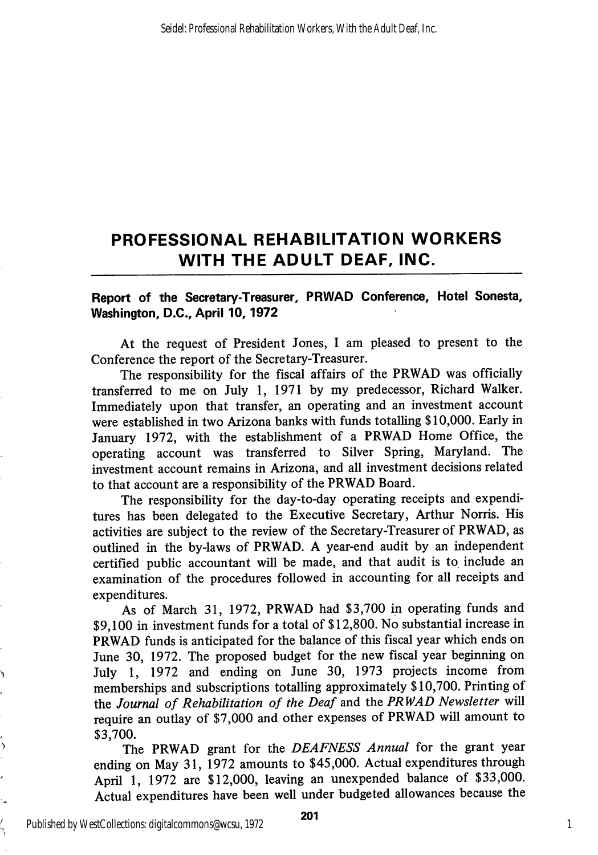# PROFESSIONAL REHABILITATION WORKERS WITH THE ADULT DEAF, INC.

### Report of the Secretary-Treasurer, PRWAD Conference, Hotel Sonesta, Washington, D.C., April 10,1972

At the request of President Jones, I am pleased to present to the Conference the report of the Secretary-Treasurer.

The responsibility for the fiscal affairs of the PRWAD was officially transferred to me on July 1, 1971 by my predecessor, Richard Walker. Immediately upon that transfer, an operating and an investment account were established in two Arizona banks with fimds totalling \$10,000. Early in January 1972, with the establishment of a PRWAD Home Office, the operating account was transferred to Silver Spring, Maryland. The investment account remains in Arizona, and all investment decisions related to that account are a responsibility of the PRWAD Board.

The responsibility for the day-to-day operating receipts and expendi tures has been delegated to the Executive Secretary, Arthur Norris. His activities are subject to the review of the Secretary-Treasurer of PRWAD, as outlined in the by-laws of PRWAD. A year-end audit by an independent certified public accountant will be made, and that audit is to include an examination of the procedures followed in accounting for all receipts and expenditures.

As of March 31, 1972, PRWAD had \$3,700 in operating funds and \$9,100 in investment funds for a total of \$12,800. No substantial increase in PRWAD funds is anticipated for the balance of this fiscal year which ends on June 30, 1972. The proposed budget for the new fiscal year beginning on July 1, 1972 and ending on June 30, 1973 projects income from memberships and subscriptions totalling approximately \$10,700. Printing of the Journal of Rehabilitation of the Deaf and the PRWAD Newsletter will require an outlay of \$7,000 and other expenses of PRWAD will amount to \$3,700.

The PRWAD grant for the DEAFNESS Annual for the grant year ending on May 31, 1972 amounts to \$45,000. Actual expenditures through April 1, 1972 are \$12,000, leaving an unexpended balance of \$33,000. Actual expenditures have been well under budgeted allowances because the

Published by WestCollections: digitalcommons@wcsu, 1972

Ĺ

1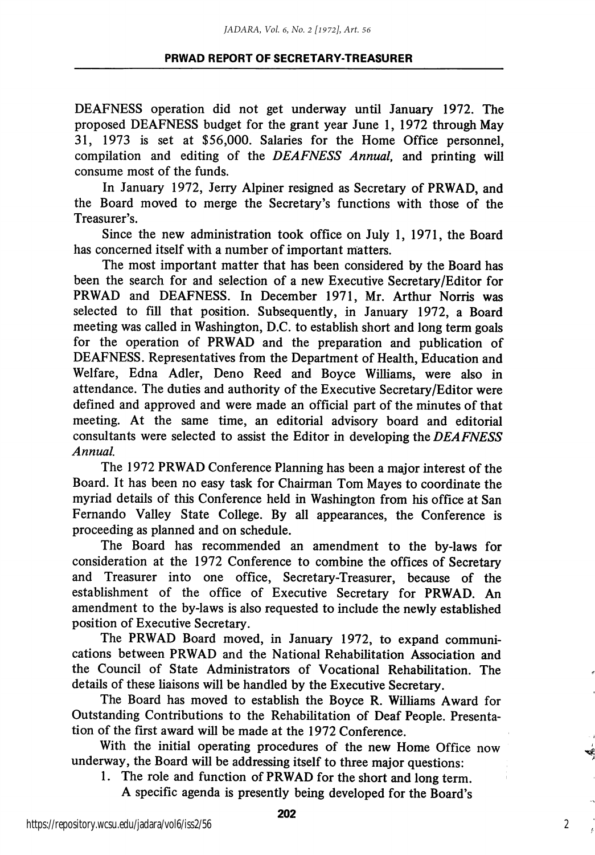#### PRWAD REPORT OF SECRETARY-TREASURER

DEAFNESS operation did not get underway until January 1972. The proposed DEAFNESS budget for the grant year June 1, 1972 through May 31, 1973 is set at \$56,000. Salaries for the Home Office personnel, compilation and editing of the DEAFNESS Annual, and printing will consume most of the funds.

In January 1972, Jerry Alpiner resigned as Secretary of PRWAD, and the Board moved to merge the Secretary's functions with those of the Treasurer's.

Since the new administration took office on July 1, 1971, the Board has concerned itself with a number of important matters.

The most important matter that has been considered by the Board has been the search for and selection of a new Executive Secretary/Editor for PRWAD and DEAFNESS. In December 1971, Mr. Arthur Norris was selected to fill that position. Subsequently, in January 1972, a Board meeting was called in Washington, D.C. to establish short and long term goals for the operation of PRWAD and the preparation and publication of DEAFNESS. Representatives from the Department of Health, Education and Welfare, Edna Adler, Deno Reed and Boyce Williams, were also in attendance. The duties and authority of the Executive Secretary/Editor were defined and approved and were made an official part of the minutes of that meeting. At the same time, an editorial advisory board and editorial consultants were selected to assist the Editor in developing the DEAFNESS Annual.

The 1972 PRWAD Conference Planning has been a major interest of the Board. It has been no easy task for Chairman Tom Mayes to coordinate the myriad details of this Conference held in Washington from his office at San Fernando Valley State College. By all appearances, the Conference is proceeding as planned and on schedule.

The Board has recommended an amendment to the by-laws for consideration at the 1972 Conference to combine the offices of Secretary and Treasurer into one office, Secretary-Treasurer, because of the establishment of the office of Executive Secretary for PRWAD. An amendment to the by-laws is also requested to include the newly established position of Executive Secretary.

The PRWAD Board moved, in January 1972, to expand communi cations between PRWAD and the National Rehabihtation Association and the Council of State Administrators of Vocational Rehabilitation. The details of these liaisons will be handled by the Executive Secretary.

The Board has moved to establish the Boyce R. Williams Award for Outstanding Contributions to the Rehabilitation of Deaf People. Presentation of the first award will be made at the 1972 Conference.

With the initial operating procedures of the new Home Office now underway, the Board will be addressing itself to three major questions:

1. The role and function of PRWAD for the short and long term. A specific agenda is presently being developed for the Board's

2